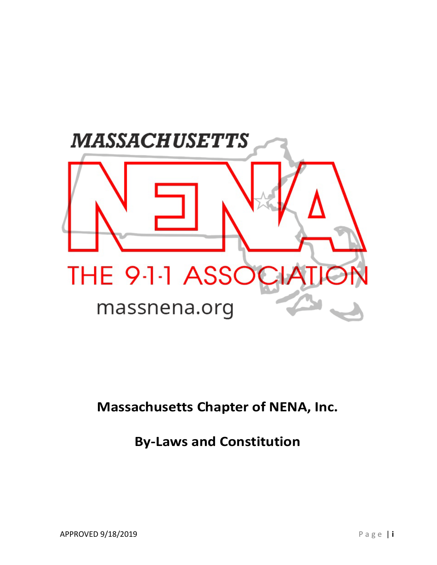

# **Massachusetts Chapter of NENA, Inc.**

# **By-Laws and Constitution**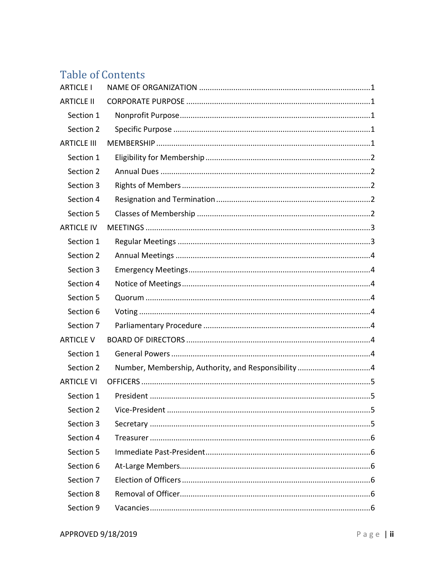# **Table of Contents**

| <b>ARTICLE I</b>   |                                                     |  |
|--------------------|-----------------------------------------------------|--|
| <b>ARTICLE II</b>  |                                                     |  |
| Section 1          |                                                     |  |
| Section 2          |                                                     |  |
| <b>ARTICLE III</b> |                                                     |  |
| Section 1          |                                                     |  |
| Section 2          |                                                     |  |
| Section 3          |                                                     |  |
| Section 4          |                                                     |  |
| Section 5          |                                                     |  |
| <b>ARTICLE IV</b>  |                                                     |  |
| Section 1          |                                                     |  |
| Section 2          |                                                     |  |
| Section 3          |                                                     |  |
| Section 4          |                                                     |  |
| Section 5          |                                                     |  |
| Section 6          |                                                     |  |
| Section 7          |                                                     |  |
| <b>ARTICLE V</b>   |                                                     |  |
| Section 1          |                                                     |  |
| Section 2          | Number, Membership, Authority, and Responsibility 4 |  |
| <b>ARTICLE VI</b>  |                                                     |  |
| Section 1          |                                                     |  |
| Section 2          |                                                     |  |
| Section 3          |                                                     |  |
| Section 4          |                                                     |  |
| Section 5          |                                                     |  |
| Section 6          |                                                     |  |
| Section 7          |                                                     |  |
| Section 8          |                                                     |  |
| Section 9          |                                                     |  |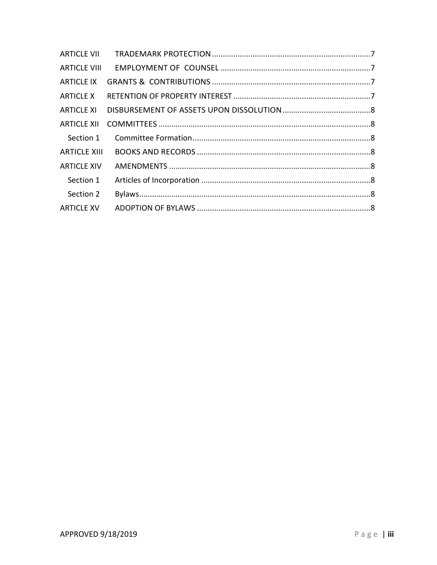| <b>ARTICLE X</b>   |  |
|--------------------|--|
|                    |  |
|                    |  |
| Section 1          |  |
| ARTICLE XIII       |  |
| <b>ARTICLE XIV</b> |  |
| Section 1          |  |
| Section 2          |  |
|                    |  |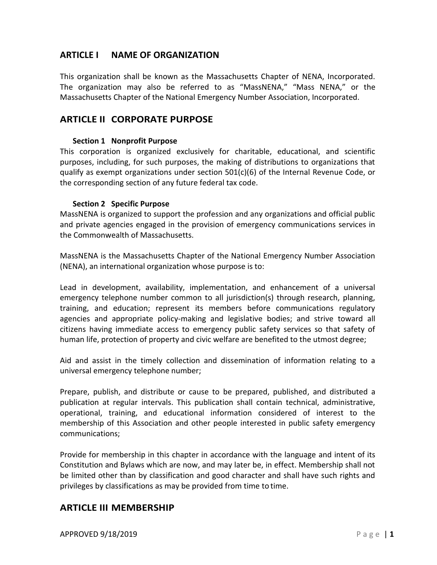# <span id="page-3-0"></span>**ARTICLE I NAME OF ORGANIZATION**

This organization shall be known as the Massachusetts Chapter of NENA, Incorporated. The organization may also be referred to as "MassNENA," "Mass NENA," or the Massachusetts Chapter of the National Emergency Number Association, Incorporated.

## <span id="page-3-1"></span>**ARTICLE II CORPORATE PURPOSE**

### **Section 1 Nonprofit Purpose**

<span id="page-3-2"></span>This corporation is organized exclusively for charitable, educational, and scientific purposes, including, for such purposes, the making of distributions to organizations that qualify as exempt organizations under section 501(c)(6) of the Internal Revenue Code, or the corresponding section of any future federal tax code.

#### **Section 2 Specific Purpose**

<span id="page-3-3"></span>MassNENA is organized to support the profession and any organizations and official public and private agencies engaged in the provision of emergency communications services in the Commonwealth of Massachusetts.

MassNENA is the Massachusetts Chapter of the National Emergency Number Association (NENA), an international organization whose purpose is to:

Lead in development, availability, implementation, and enhancement of a universal emergency telephone number common to all jurisdiction(s) through research, planning, training, and education; represent its members before communications regulatory agencies and appropriate policy-making and legislative bodies; and strive toward all citizens having immediate access to emergency public safety services so that safety of human life, protection of property and civic welfare are benefited to the utmost degree;

Aid and assist in the timely collection and dissemination of information relating to a universal emergency telephone number;

Prepare, publish, and distribute or cause to be prepared, published, and distributed a publication at regular intervals. This publication shall contain technical, administrative, operational, training, and educational information considered of interest to the membership of this Association and other people interested in public safety emergency communications;

Provide for membership in this chapter in accordance with the language and intent of its Constitution and Bylaws which are now, and may later be, in effect. Membership shall not be limited other than by classification and good character and shall have such rights and privileges by classifications as may be provided from time to time.

## <span id="page-3-4"></span>**ARTICLE III MEMBERSHIP**

**APPROVED 9/18/2019 Page 11**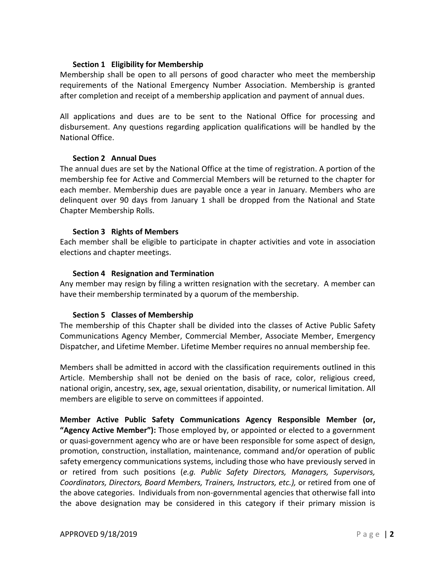### **Section 1 Eligibility for Membership**

<span id="page-4-0"></span>Membership shall be open to all persons of good character who meet the membership requirements of the National Emergency Number Association. Membership is granted after completion and receipt of a membership application and payment of annual dues.

All applications and dues are to be sent to the National Office for processing and disbursement. Any questions regarding application qualifications will be handled by the National Office.

#### **Section 2 Annual Dues**

<span id="page-4-1"></span>The annual dues are set by the National Office at the time of registration. A portion of the membership fee for Active and Commercial Members will be returned to the chapter for each member. Membership dues are payable once a year in January. Members who are delinquent over 90 days from January 1 shall be dropped from the National and State Chapter Membership Rolls.

#### **Section 3 Rights of Members**

<span id="page-4-2"></span>Each member shall be eligible to participate in chapter activities and vote in association elections and chapter meetings.

#### **Section 4 Resignation and Termination**

<span id="page-4-3"></span>Any member may resign by filing a written resignation with the secretary. A member can have their membership terminated by a quorum of the membership.

## **Section 5 Classes of Membership**

<span id="page-4-4"></span>The membership of this Chapter shall be divided into the classes of Active Public Safety Communications Agency Member, Commercial Member, Associate Member, Emergency Dispatcher, and Lifetime Member. Lifetime Member requires no annual membership fee.

Members shall be admitted in accord with the classification requirements outlined in this Article. Membership shall not be denied on the basis of race, color, religious creed, national origin, ancestry, sex, age, sexual orientation, disability, or numerical limitation. All members are eligible to serve on committees if appointed.

**Member Active Public Safety Communications Agency Responsible Member (or, "Agency Active Member"):** Those employed by, or appointed or elected to a government or quasi-government agency who are or have been responsible for some aspect of design, promotion, construction, installation, maintenance, command and/or operation of public safety emergency communications systems, including those who have previously served in or retired from such positions (*e.g. Public Safety Directors, Managers, Supervisors, Coordinators, Directors, Board Members, Trainers, Instructors, etc.),* or retired from one of the above categories. Individuals from non-governmental agencies that otherwise fall into the above designation may be considered in this category if their primary mission is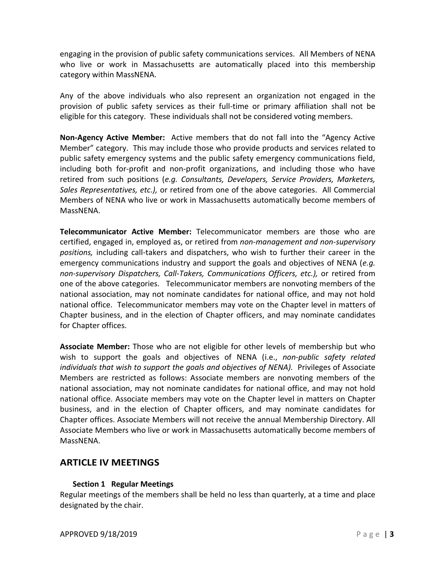engaging in the provision of public safety communications services. All Members of NENA who live or work in Massachusetts are automatically placed into this membership category within MassNENA.

Any of the above individuals who also represent an organization not engaged in the provision of public safety services as their full-time or primary affiliation shall not be eligible for this category. These individuals shall not be considered voting members.

**Non-Agency Active Member:** Active members that do not fall into the "Agency Active Member" category. This may include those who provide products and services related to public safety emergency systems and the public safety emergency communications field, including both for-profit and non-profit organizations, and including those who have retired from such positions (*e.g. Consultants, Developers, Service Providers, Marketers, Sales Representatives, etc.),* or retired from one of the above categories.All Commercial Members of NENA who live or work in Massachusetts automatically become members of MassNENA.

**Telecommunicator Active Member:** Telecommunicator members are those who are certified, engaged in, employed as, or retired from *non-management and non-supervisory positions,* including call-takers and dispatchers, who wish to further their career in the emergency communications industry and support the goals and objectives of NENA (*e.g. non-supervisory Dispatchers, Call-Takers, Communications Officers, etc.),* or retired from one of the above categories.Telecommunicator members are nonvoting members of the national association, may not nominate candidates for national office, and may not hold national office. Telecommunicator members may vote on the Chapter level in matters of Chapter business, and in the election of Chapter officers, and may nominate candidates for Chapter offices.

**Associate Member:** Those who are not eligible for other levels of membership but who wish to support the goals and objectives of NENA (i.e., *non-public safety related individuals that wish to support the goals and objectives of NENA).* Privileges of Associate Members are restricted as follows: Associate members are nonvoting members of the national association, may not nominate candidates for national office, and may not hold national office. Associate members may vote on the Chapter level in matters on Chapter business, and in the election of Chapter officers, and may nominate candidates for Chapter offices. Associate Members will not receive the annual Membership Directory. All Associate Members who live or work in Massachusetts automatically become members of MassNENA.

## <span id="page-5-0"></span>**ARTICLE IV MEETINGS**

## **Section 1 Regular Meetings**

<span id="page-5-1"></span>Regular meetings of the members shall be held no less than quarterly, at a time and place designated by the chair.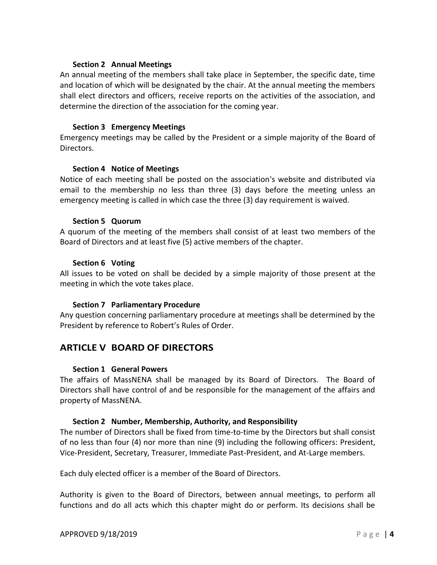#### **Section 2 Annual Meetings**

<span id="page-6-0"></span>An annual meeting of the members shall take place in September, the specific date, time and location of which will be designated by the chair. At the annual meeting the members shall elect directors and officers, receive reports on the activities of the association, and determine the direction of the association for the coming year.

### **Section 3 Emergency Meetings**

<span id="page-6-1"></span>Emergency meetings may be called by the President or a simple majority of the Board of Directors.

## **Section 4 Notice of Meetings**

<span id="page-6-2"></span>Notice of each meeting shall be posted on the association's website and distributed via email to the membership no less than three (3) days before the meeting unless an emergency meeting is called in which case the three (3) day requirement is waived.

## **Section 5 Quorum**

<span id="page-6-3"></span>A quorum of the meeting of the members shall consist of at least two members of the Board of Directors and at least five (5) active members of the chapter.

#### **Section 6 Voting**

<span id="page-6-4"></span>All issues to be voted on shall be decided by a simple majority of those present at the meeting in which the vote takes place.

## **Section 7 Parliamentary Procedure**

<span id="page-6-5"></span>Any question concerning parliamentary procedure at meetings shall be determined by the President by reference to Robert's Rules of Order.

# <span id="page-6-6"></span>**ARTICLE V BOARD OF DIRECTORS**

## **Section 1 General Powers**

<span id="page-6-7"></span>The affairs of MassNENA shall be managed by its Board of Directors. The Board of Directors shall have control of and be responsible for the management of the affairs and property of MassNENA.

#### **Section 2 Number, Membership, Authority, and Responsibility**

<span id="page-6-8"></span>The number of Directors shall be fixed from time-to-time by the Directors but shall consist of no less than four (4) nor more than nine (9) including the following officers: President, Vice-President, Secretary, Treasurer, Immediate Past-President, and At-Large members.

Each duly elected officer is a member of the Board of Directors.

Authority is given to the Board of Directors, between annual meetings, to perform all functions and do all acts which this chapter might do or perform. Its decisions shall be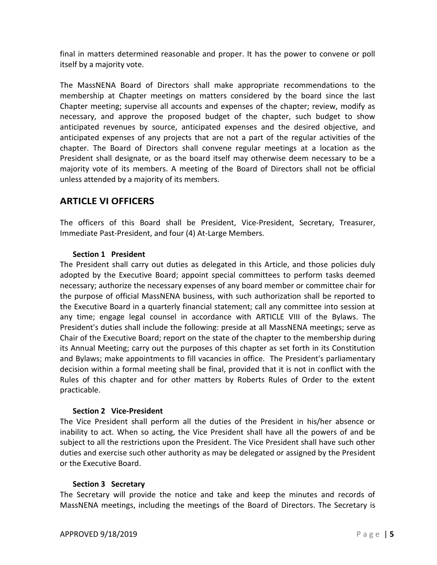final in matters determined reasonable and proper. It has the power to convene or poll itself by a majority vote.

The MassNENA Board of Directors shall make appropriate recommendations to the membership at Chapter meetings on matters considered by the board since the last Chapter meeting; supervise all accounts and expenses of the chapter; review, modify as necessary, and approve the proposed budget of the chapter, such budget to show anticipated revenues by source, anticipated expenses and the desired objective, and anticipated expenses of any projects that are not a part of the regular activities of the chapter. The Board of Directors shall convene regular meetings at a location as the President shall designate, or as the board itself may otherwise deem necessary to be a majority vote of its members. A meeting of the Board of Directors shall not be official unless attended by a majority of its members.

# <span id="page-7-0"></span>**ARTICLE VI OFFICERS**

The officers of this Board shall be President, Vice-President, Secretary, Treasurer, Immediate Past-President, and four (4) At-Large Members.

## **Section 1 President**

<span id="page-7-1"></span>The President shall carry out duties as delegated in this Article, and those policies duly adopted by the Executive Board; appoint special committees to perform tasks deemed necessary; authorize the necessary expenses of any board member or committee chair for the purpose of official MassNENA business, with such authorization shall be reported to the Executive Board in a quarterly financial statement; call any committee into session at any time; engage legal counsel in accordance with [ARTICLE VIII](#page-9-1) of the Bylaws. The President's duties shall include the following: preside at all MassNENA meetings; serve as Chair of the Executive Board; report on the state of the chapter to the membership during its Annual Meeting; carry out the purposes of this chapter as set forth in its Constitution and Bylaws; make appointments to fill vacancies in office. The President's parliamentary decision within a formal meeting shall be final, provided that it is not in conflict with the Rules of this chapter and for other matters by Roberts Rules of Order to the extent practicable.

## **Section 2 Vice-President**

<span id="page-7-2"></span>The Vice President shall perform all the duties of the President in his/her absence or inability to act. When so acting, the Vice President shall have all the powers of and be subject to all the restrictions upon the President. The Vice President shall have such other duties and exercise such other authority as may be delegated or assigned by the President or the Executive Board.

#### **Section 3 Secretary**

<span id="page-7-3"></span>The Secretary will provide the notice and take and keep the minutes and records of MassNENA meetings, including the meetings of the Board of Directors. The Secretary is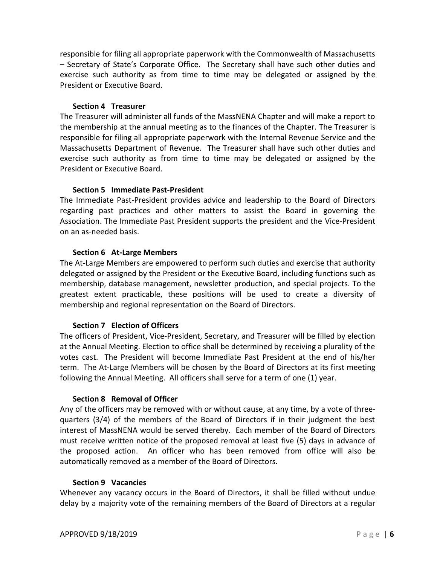responsible for filing all appropriate paperwork with the Commonwealth of Massachusetts – Secretary of State's Corporate Office. The Secretary shall have such other duties and exercise such authority as from time to time may be delegated or assigned by the President or Executive Board.

#### **Section 4 Treasurer**

<span id="page-8-0"></span>The Treasurer will administer all funds of the MassNENA Chapter and will make a report to the membership at the annual meeting as to the finances of the Chapter. The Treasurer is responsible for filing all appropriate paperwork with the Internal Revenue Service and the Massachusetts Department of Revenue. The Treasurer shall have such other duties and exercise such authority as from time to time may be delegated or assigned by the President or Executive Board.

#### **Section 5 Immediate Past-President**

<span id="page-8-1"></span>The Immediate Past-President provides advice and leadership to the Board of Directors regarding past practices and other matters to assist the Board in governing the Association. The Immediate Past President supports the president and the Vice-President on an as-needed basis.

## **Section 6 At-Large Members**

<span id="page-8-2"></span>The At-Large Members are empowered to perform such duties and exercise that authority delegated or assigned by the President or the Executive Board, including functions such as membership, database management, newsletter production, and special projects. To the greatest extent practicable, these positions will be used to create a diversity of membership and regional representation on the Board of Directors.

## **Section 7 Election of Officers**

<span id="page-8-3"></span>The officers of President, Vice-President, Secretary, and Treasurer will be filled by election at the Annual Meeting. Election to office shall be determined by receiving a plurality of the votes cast. The President will become Immediate Past President at the end of his/her term. The At-Large Members will be chosen by the Board of Directors at its first meeting following the Annual Meeting. All officers shall serve for a term of one (1) year.

## **Section 8 Removal of Officer**

<span id="page-8-4"></span>Any of the officers may be removed with or without cause, at any time, by a vote of threequarters (3/4) of the members of the Board of Directors if in their judgment the best interest of MassNENA would be served thereby. Each member of the Board of Directors must receive written notice of the proposed removal at least five (5) days in advance of the proposed action. An officer who has been removed from office will also be automatically removed as a member of the Board of Directors.

#### **Section 9 Vacancies**

<span id="page-8-5"></span>Whenever any vacancy occurs in the Board of Directors, it shall be filled without undue delay by a majority vote of the remaining members of the Board of Directors at a regular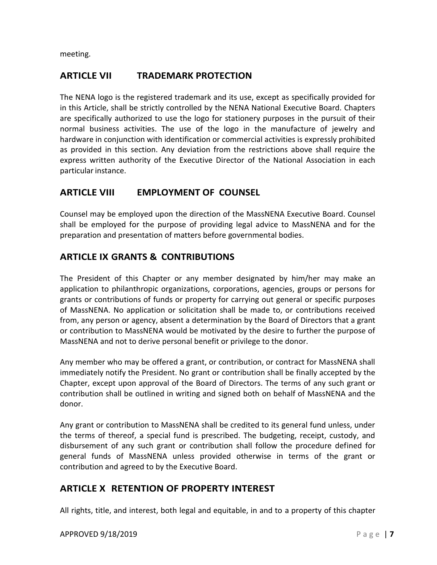meeting.

# <span id="page-9-0"></span>**ARTICLE VII TRADEMARK PROTECTION**

The NENA logo is the registered trademark and its use, except as specifically provided for in this Article, shall be strictly controlled by the NENA National Executive Board. Chapters are specifically authorized to use the logo for stationery purposes in the pursuit of their normal business activities. The use of the logo in the manufacture of jewelry and hardware in conjunction with identification or commercial activities is expressly prohibited as provided in this section. Any deviation from the restrictions above shall require the express written authority of the Executive Director of the National Association in each particular instance.

# <span id="page-9-1"></span>**ARTICLE VIII EMPLOYMENT OF COUNSEL**

Counsel may be employed upon the direction of the MassNENA Executive Board. Counsel shall be employed for the purpose of providing legal advice to MassNENA and for the preparation and presentation of matters before governmental bodies.

# <span id="page-9-2"></span>**ARTICLE IX GRANTS & CONTRIBUTIONS**

The President of this Chapter or any member designated by him/her may make an application to philanthropic organizations, corporations, agencies, groups or persons for grants or contributions of funds or property for carrying out general or specific purposes of MassNENA. No application or solicitation shall be made to, or contributions received from, any person or agency, absent a determination by the Board of Directors that a grant or contribution to MassNENA would be motivated by the desire to further the purpose of MassNENA and not to derive personal benefit or privilege to the donor.

Any member who may be offered a grant, or contribution, or contract for MassNENA shall immediately notify the President. No grant or contribution shall be finally accepted by the Chapter, except upon approval of the Board of Directors. The terms of any such grant or contribution shall be outlined in writing and signed both on behalf of MassNENA and the donor.

Any grant or contribution to MassNENA shall be credited to its general fund unless, under the terms of thereof, a special fund is prescribed. The budgeting, receipt, custody, and disbursement of any such grant or contribution shall follow the procedure defined for general funds of MassNENA unless provided otherwise in terms of the grant or contribution and agreed to by the Executive Board.

# <span id="page-9-3"></span>**ARTICLE X RETENTION OF PROPERTY INTEREST**

All rights, title, and interest, both legal and equitable, in and to a property of this chapter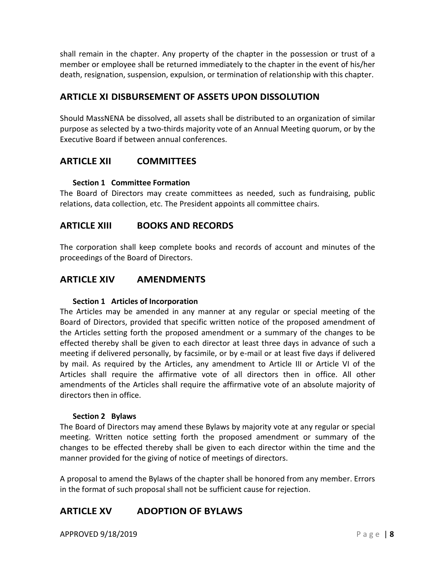shall remain in the chapter. Any property of the chapter in the possession or trust of a member or employee shall be returned immediately to the chapter in the event of his/her death, resignation, suspension, expulsion, or termination of relationship with this chapter.

# <span id="page-10-0"></span>**ARTICLE XI DISBURSEMENT OF ASSETS UPON DISSOLUTION**

Should MassNENA be dissolved, all assets shall be distributed to an organization of similar purpose as selected by a two-thirds majority vote of an Annual Meeting quorum, or by the Executive Board if between annual conferences.

## <span id="page-10-1"></span>**ARTICLE XII COMMITTEES**

## **Section 1 Committee Formation**

<span id="page-10-2"></span>The Board of Directors may create committees as needed, such as fundraising, public relations, data collection, etc. The President appoints all committee chairs.

## <span id="page-10-3"></span>**ARTICLE XIII BOOKS AND RECORDS**

The corporation shall keep complete books and records of account and minutes of the proceedings of the Board of Directors.

# <span id="page-10-4"></span>**ARTICLE XIV AMENDMENTS**

#### **Section 1 Articles of Incorporation**

<span id="page-10-5"></span>The Articles may be amended in any manner at any regular or special meeting of the Board of Directors, provided that specific written notice of the proposed amendment of the Articles setting forth the proposed amendment or a summary of the changes to be effected thereby shall be given to each director at least three days in advance of such a meeting if delivered personally, by facsimile, or by e-mail or at least five days if delivered by mail. As required by the Articles, any amendment to Article III or Article VI of the Articles shall require the affirmative vote of all directors then in office. All other amendments of the Articles shall require the affirmative vote of an absolute majority of directors then in office.

#### **Section 2 Bylaws**

<span id="page-10-6"></span>The Board of Directors may amend these Bylaws by majority vote at any regular or special meeting. Written notice setting forth the proposed amendment or summary of the changes to be effected thereby shall be given to each director within the time and the manner provided for the giving of notice of meetings of directors.

A proposal to amend the Bylaws of the chapter shall be honored from any member. Errors in the format of such proposal shall not be sufficient cause for rejection.

# <span id="page-10-7"></span>**ARTICLE XV ADOPTION OF BYLAWS**

**APPROVED 9/18/2019** Page 18